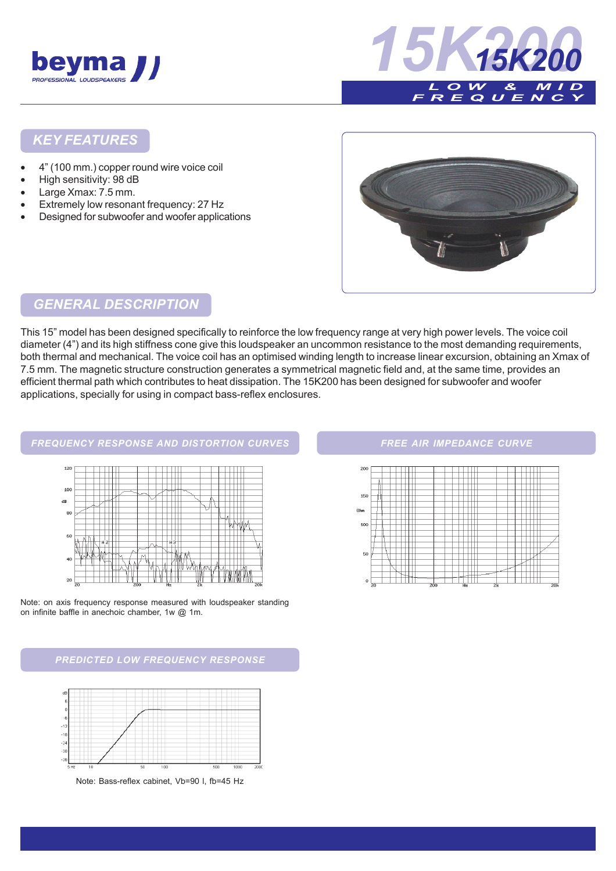



#### *KEY FEATURES*

- 4" (100 mm.) copper round wire voice coil
- High sensitivity: 98 dB
- Large Xmax: 7.5 mm.
- Extremely low resonant frequency: 27 Hz
- Designed for subwoofer and woofer applications



# *GENERAL DESCRIPTION*

This 15" model has been designed specifically to reinforce the low frequency range at very high power levels. The voice coil diameter (4") and its high stiffness cone give this loudspeaker an uncommon resistance to the most demanding requirements, both thermal and mechanical. The voice coil has an optimised winding length to increase linear excursion, obtaining an Xmax of 7.5 mm. The magnetic structure construction generates a symmetrical magnetic field and, at the same time, provides an efficient thermal path which contributes to heat dissipation. The 15K200 has been designed for subwoofer and woofer applications, specially for using in compact bass-reflex enclosures.

#### *FREQUENCY RESPONSE AND DISTORTION CURVES*





*PREDICTED LOW FREQUENCY RESPONSE*



#### *FREE AIR IMPEDANCE CURVE*